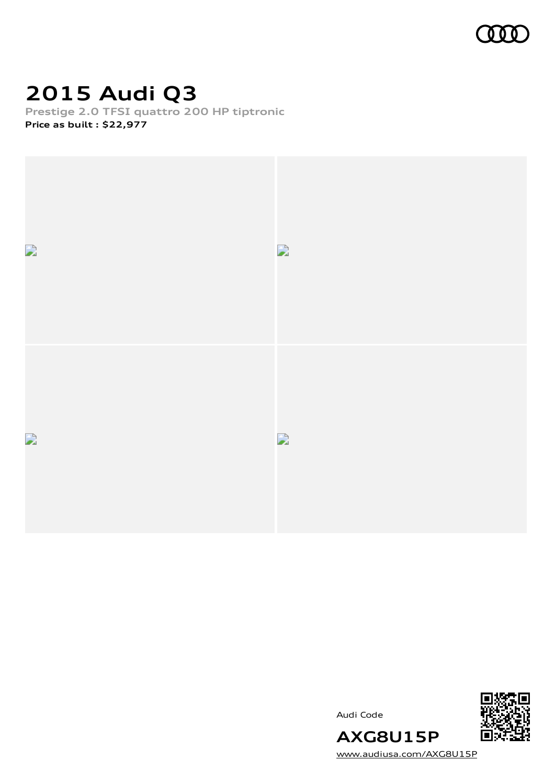

## **2015 Audi Q3**

**Prestige 2.0 TFSI quattro 200 HP tiptronic Price as built [:](#page-10-0) \$22,977**



Audi Code



[www.audiusa.com/AXG8U15P](https://www.audiusa.com/AXG8U15P)

**AXG8U15P**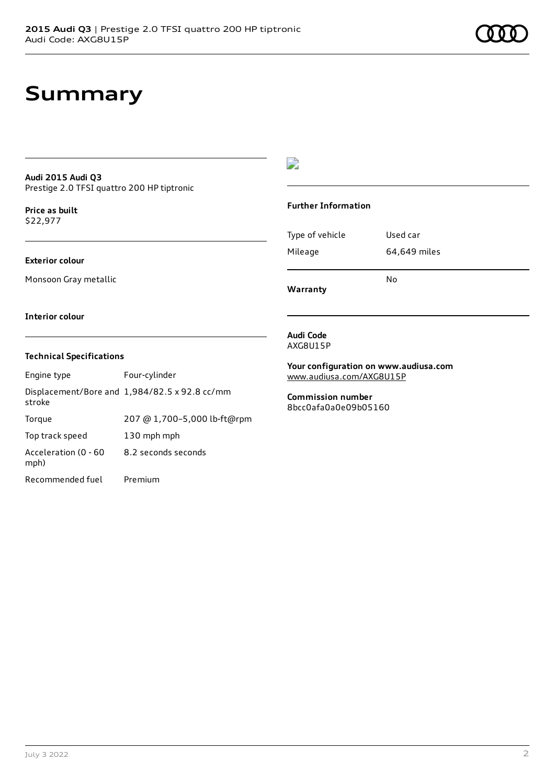#### **Audi 2015 Audi Q3** Prestige 2.0 TFSI quattro 200 HP tiptronic

**Price as buil[t](#page-10-0)** \$22,977

#### **Exterior colour**

Monsoon Gray metallic

#### $\overline{\phantom{a}}$

#### **Further Information**

|                 | N٥           |
|-----------------|--------------|
| Mileage         | 64,649 miles |
| Type of vehicle | Used car     |

**Warranty**

#### **Interior colour**

#### **Technical Specifications**

| Engine type                  | Four-cylinder                                 |
|------------------------------|-----------------------------------------------|
| stroke                       | Displacement/Bore and 1,984/82.5 x 92.8 cc/mm |
| Torque                       | 207 @ 1,700-5,000 lb-ft@rpm                   |
| Top track speed              | 130 mph mph                                   |
| Acceleration (0 - 60<br>mph) | 8.2 seconds seconds                           |
| Recommended fuel             | Premium                                       |

#### **Audi Code** AXG8U15P

**Your configuration on www.audiusa.com** [www.audiusa.com/AXG8U15P](https://www.audiusa.com/AXG8U15P)

**Commission number** 8bcc0afa0a0e09b05160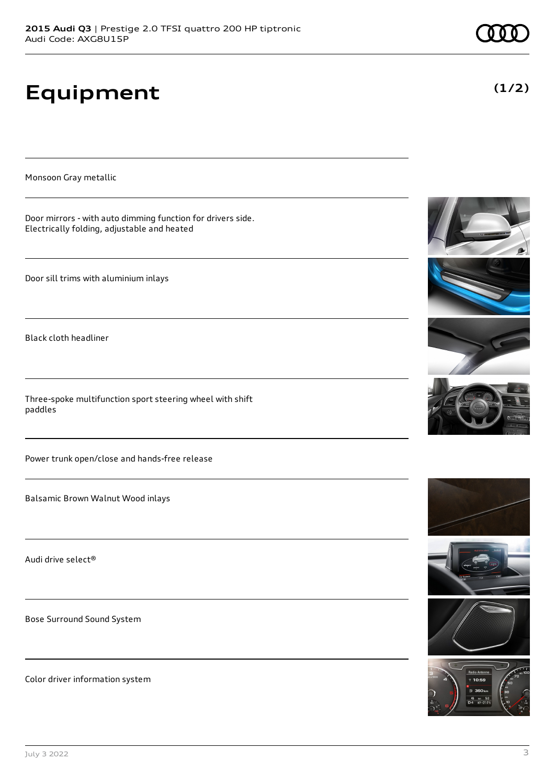# **Equipment**

Monsoon Gray metallic

Door mirrors - with auto dimming function for drivers side. Electrically folding, adjustable and heated

Door sill trims with aluminium inlays

Black cloth headliner

Three-spoke multifunction sport steering wheel with shift paddles

Power trunk open/close and hands-free release

Balsamic Brown Walnut Wood inlays

Audi drive select®

Bose Surround Sound System

Color driver information system











**(1/2)**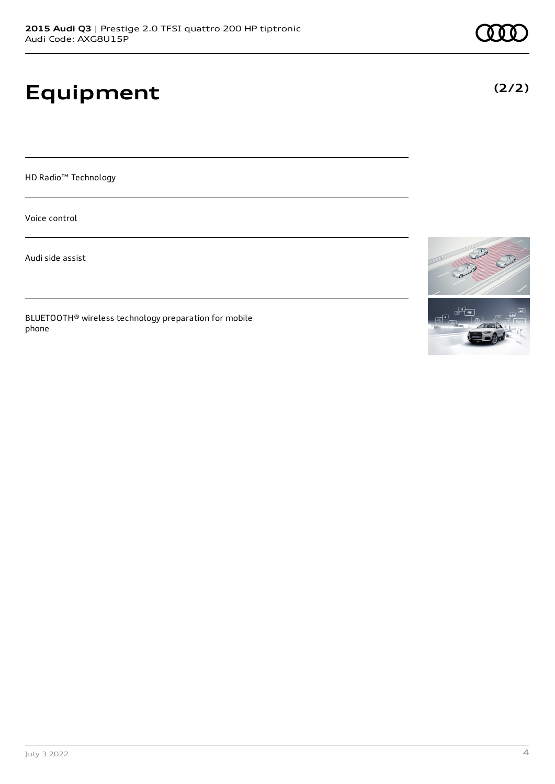# **Equipment**

HD Radio™ Technology

Voice control

Audi side assist

BLUETOOTH® wireless technology preparation for mobile phone

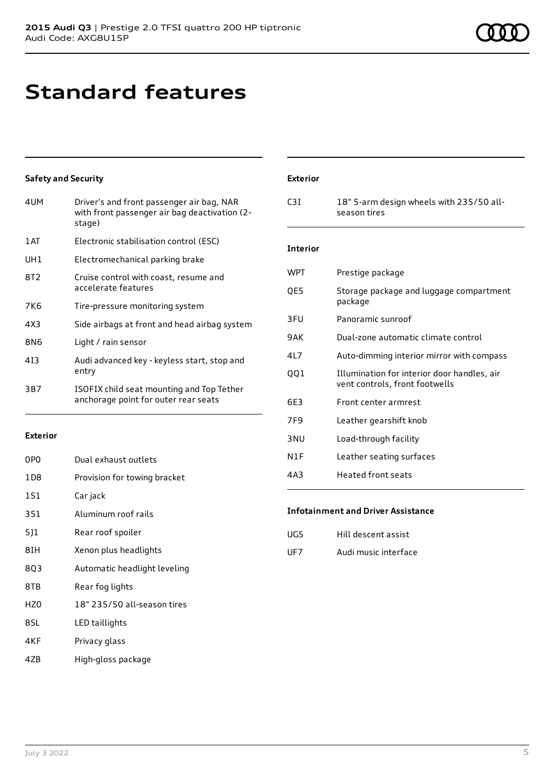### **Standard features**

#### **Safety and Security**

| 4UM             | Driver's and front passenger air bag, NAR<br>with front passenger air bag deactivation (2-<br>stage) |
|-----------------|------------------------------------------------------------------------------------------------------|
| 1AT             | Electronic stabilisation control (ESC)                                                               |
| UH1             | Electromechanical parking brake                                                                      |
| 8T <sub>2</sub> | Cruise control with coast, resume and<br>accelerate features                                         |
| 7K <sub>6</sub> | Tire-pressure monitoring system                                                                      |
| 4X3             | Side airbags at front and head airbag system                                                         |
| 8N6             | Light / rain sensor                                                                                  |
| 413             | Audi advanced key - keyless start, stop and<br>entry                                                 |
| 3B7             | ISOFIX child seat mounting and Top Tether<br>anchorage point for outer rear seats                    |
|                 |                                                                                                      |

#### **Exterior**

| 0PO             | Dual exhaust outlets         |
|-----------------|------------------------------|
| 1D <sub>8</sub> | Provision for towing bracket |
| 1S1             | Car jack                     |
| 3S1             | Aluminum roof rails          |
| 511             | Rear roof spoiler            |
| 8IH             | Xenon plus headlights        |
| 8Q3             | Automatic headlight leveling |
| 8TB             | Rear fog lights              |
| H70             | 18" 235/50 all-season tires  |
| 8SL             | LED taillights               |
| 4KF             | Privacy glass                |

4ZB High-gloss package

#### **Exterior**

| C3I | 18" 5-arm design wheels with 235/50 all- |
|-----|------------------------------------------|
|     | season tires                             |

#### **Interior**

| <b>WPT</b> | Prestige package                                                              |
|------------|-------------------------------------------------------------------------------|
| OE5        | Storage package and luggage compartment<br>package                            |
| 3FU        | Panoramic sunroof                                                             |
| 9AK        | Dual-zone automatic climate control                                           |
| 417        | Auto-dimming interior mirror with compass                                     |
| 001        | Illumination for interior door handles, air<br>vent controls, front footwells |
| 6E3        | Front center armrest                                                          |
| 7F9        | Leather gearshift knob                                                        |
| 3 NU       | Load-through facility                                                         |
| N1F        | Leather seating surfaces                                                      |
| 4A3        | Heated front seats                                                            |

#### **Infotainment and Driver Assistance**

| UG5 | Hill descent assist  |
|-----|----------------------|
| UF7 | Audi music interface |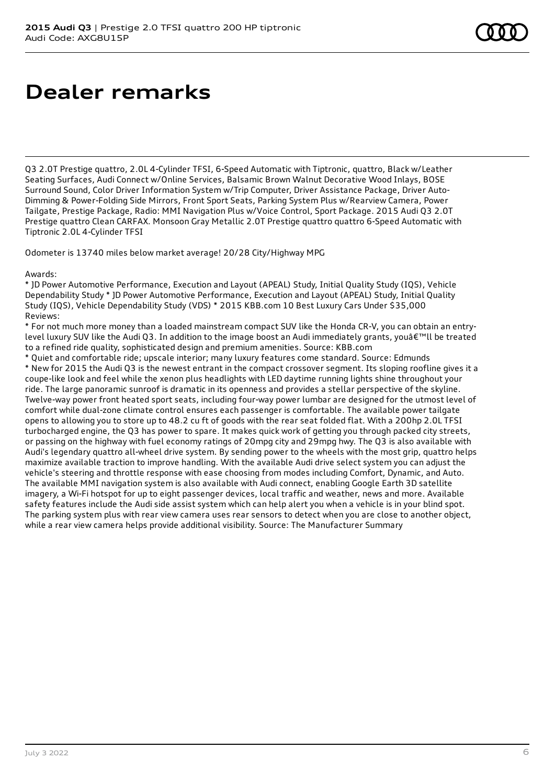### **Dealer remarks**

Q3 2.0T Prestige quattro, 2.0L 4-Cylinder TFSI, 6-Speed Automatic with Tiptronic, quattro, Black w/Leather Seating Surfaces, Audi Connect w/Online Services, Balsamic Brown Walnut Decorative Wood Inlays, BOSE Surround Sound, Color Driver Information System w/Trip Computer, Driver Assistance Package, Driver Auto-Dimming & Power-Folding Side Mirrors, Front Sport Seats, Parking System Plus w/Rearview Camera, Power Tailgate, Prestige Package, Radio: MMI Navigation Plus w/Voice Control, Sport Package. 2015 Audi Q3 2.0T Prestige quattro Clean CARFAX. Monsoon Gray Metallic 2.0T Prestige quattro quattro 6-Speed Automatic with Tiptronic 2.0L 4-Cylinder TFSI

Odometer is 13740 miles below market average! 20/28 City/Highway MPG

Awards:

\* JD Power Automotive Performance, Execution and Layout (APEAL) Study, Initial Quality Study (IQS), Vehicle Dependability Study \* JD Power Automotive Performance, Execution and Layout (APEAL) Study, Initial Quality Study (IQS), Vehicle Dependability Study (VDS) \* 2015 KBB.com 10 Best Luxury Cars Under \$35,000 Reviews:

\* For not much more money than a loaded mainstream compact SUV like the Honda CR-V, you can obtain an entrylevel luxury SUV like the Audi Q3. In addition to the image boost an Audi immediately grants, youâ€<sup>™</sup>ll be treated to a refined ride quality, sophisticated design and premium amenities. Source: KBB.com

\* Quiet and comfortable ride; upscale interior; many luxury features come standard. Source: Edmunds \* New for 2015 the Audi Q3 is the newest entrant in the compact crossover segment. Its sloping roofline gives it a coupe-like look and feel while the xenon plus headlights with LED daytime running lights shine throughout your ride. The large panoramic sunroof is dramatic in its openness and provides a stellar perspective of the skyline. Twelve-way power front heated sport seats, including four-way power lumbar are designed for the utmost level of comfort while dual-zone climate control ensures each passenger is comfortable. The available power tailgate opens to allowing you to store up to 48.2 cu ft of goods with the rear seat folded flat. With a 200hp 2.0L TFSI turbocharged engine, the Q3 has power to spare. It makes quick work of getting you through packed city streets, or passing on the highway with fuel economy ratings of 20mpg city and 29mpg hwy. The Q3 is also available with Audi's legendary quattro all-wheel drive system. By sending power to the wheels with the most grip, quattro helps maximize available traction to improve handling. With the available Audi drive select system you can adjust the vehicle's steering and throttle response with ease choosing from modes including Comfort, Dynamic, and Auto. The available MMI navigation system is also available with Audi connect, enabling Google Earth 3D satellite imagery, a Wi-Fi hotspot for up to eight passenger devices, local traffic and weather, news and more. Available safety features include the Audi side assist system which can help alert you when a vehicle is in your blind spot. The parking system plus with rear view camera uses rear sensors to detect when you are close to another object, while a rear view camera helps provide additional visibility. Source: The Manufacturer Summary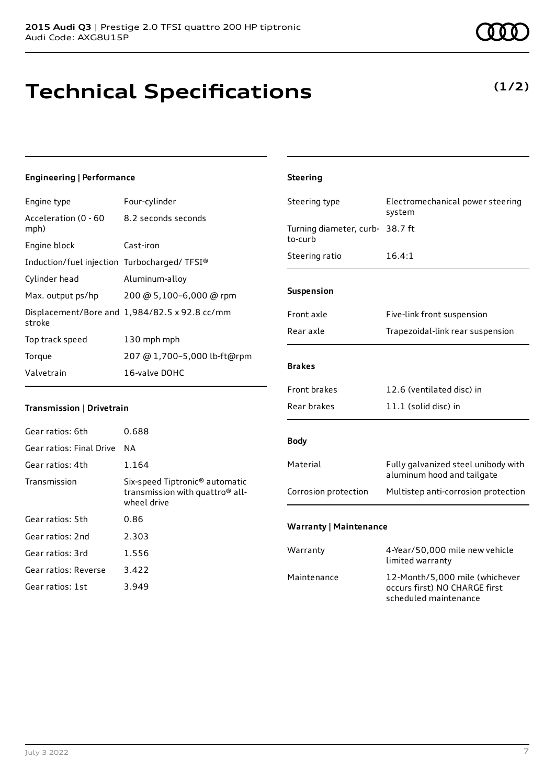# **Technical Specifications**

### **Engineering | Performance**

| Engine type                                 | Four-cylinder                                 |
|---------------------------------------------|-----------------------------------------------|
| Acceleration (0 - 60<br>mph)                | 8.2 seconds seconds                           |
| Engine block                                | Cast-iron                                     |
| Induction/fuel injection Turbocharged/TFSI® |                                               |
| Cylinder head                               | Aluminum-alloy                                |
| Max. output ps/hp                           | 200 @ 5,100-6,000 @ rpm                       |
| stroke                                      | Displacement/Bore and 1,984/82.5 x 92.8 cc/mm |
| Top track speed                             | 130 mph mph                                   |
| Torque                                      | 207 @ 1,700-5,000 lb-ft@rpm                   |
| Valvetrain                                  | 16-valve DOHC                                 |
|                                             |                                               |

#### **Transmission | Drivetrain**

| Gear ratios: 6th         | 0.688                                                                                                    |
|--------------------------|----------------------------------------------------------------------------------------------------------|
| Gear ratios: Final Drive | ΝA                                                                                                       |
| Gear ratios: 4th         | 1.164                                                                                                    |
| Transmission             | Six-speed Tiptronic <sup>®</sup> automatic<br>transmission with quattro <sup>®</sup> all-<br>wheel drive |
| Gear ratios: 5th         | 0.86                                                                                                     |
| Gear ratios: 2nd         | 2.303                                                                                                    |
| Gear ratios: 3rd         | 1.556                                                                                                    |
| Gear ratios: Reverse     | 3.422                                                                                                    |
| Gear ratios: 1st         | 3.949                                                                                                    |

| <b>Steering</b>                            |                                            |
|--------------------------------------------|--------------------------------------------|
| Steering type                              | Electromechanical power steering<br>system |
| Turning diameter, curb- 38.7 ft<br>to-curb |                                            |
| Steering ratio                             | 16.4:1                                     |
| <b>Suspension</b>                          |                                            |
| Front axle                                 | Five-link front suspension                 |
| Rear axle                                  | Trapezoidal-link rear suspension           |
| <b>Brakes</b>                              |                                            |
| <b>Front brakes</b>                        | 12.6 (ventilated disc) in                  |
| Rear brakes                                | $11.1$ (solid disc) in                     |

#### **Body**

| Material             | Fully galvanized steel unibody with<br>aluminum hood and tailgate |
|----------------------|-------------------------------------------------------------------|
| Corrosion protection | Multistep anti-corrosion protection                               |

#### **Warranty | Maintenance**

| Warranty    | 4-Year/50,000 mile new vehicle<br>limited warranty                                       |
|-------------|------------------------------------------------------------------------------------------|
| Maintenance | 12-Month/5.000 mile (whichever<br>occurs first) NO CHARGE first<br>scheduled maintenance |

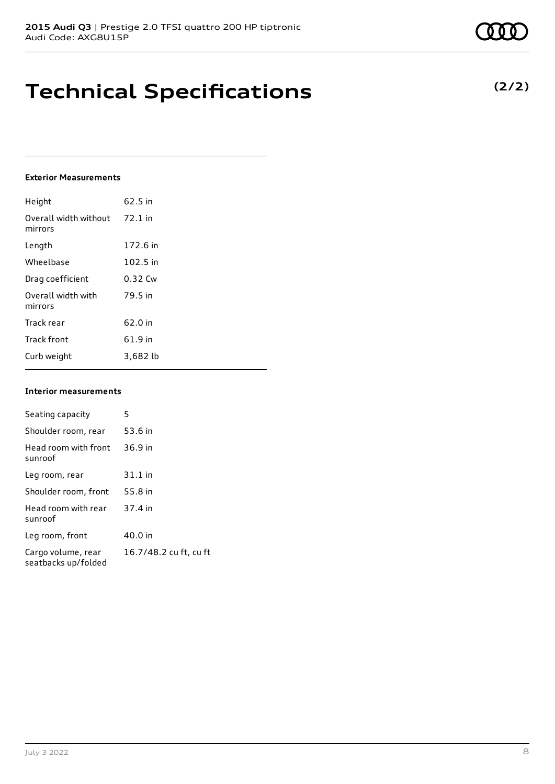### **Technical Specifications**

#### **Exterior Measurements**

| Height                           | 62.5 in   |
|----------------------------------|-----------|
| Overall width without<br>mirrors | $72.1$ in |
| Length                           | 172.6 in  |
| Wheelbase                        | 102.5 in  |
| Drag coefficient                 | 0.32 Cw   |
| Overall width with<br>mirrors    | 79.5 in   |
| Track rear                       | 62.0 in   |
| <b>Track front</b>               | 61.9 in   |
| Curb weight                      | 3,682 lb  |

#### **Interior measurements**

| Seating capacity                          | 5                      |
|-------------------------------------------|------------------------|
| Shoulder room, rear                       | 53.6 in                |
| Head room with front<br>sunroof           | 36.9 in                |
| Leg room, rear                            | $31.1$ in              |
| Shoulder room, front                      | 55.8 in                |
| Head room with rear<br>sunroof            | 37.4 in                |
| Leg room, front                           | 40.0 in                |
| Cargo volume, rear<br>seatbacks up/folded | 16.7/48.2 cu ft, cu ft |

**(2/2)**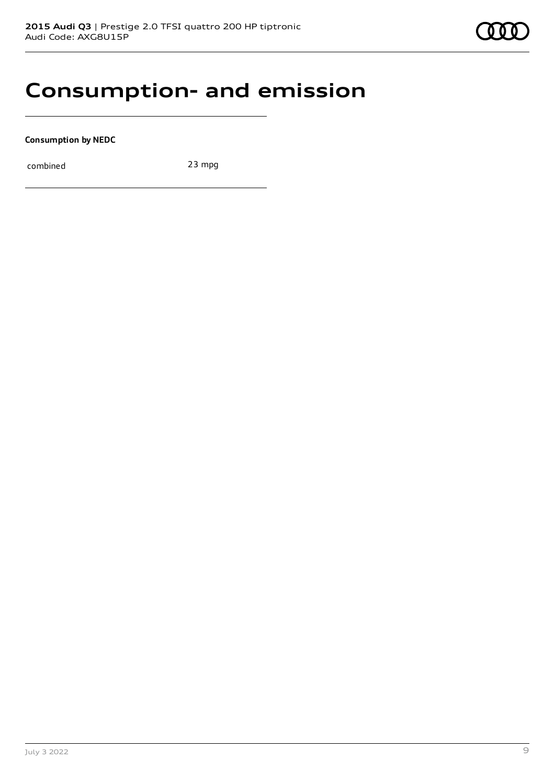### **Consumption- and emission**

**Consumption by NEDC**

combined 23 mpg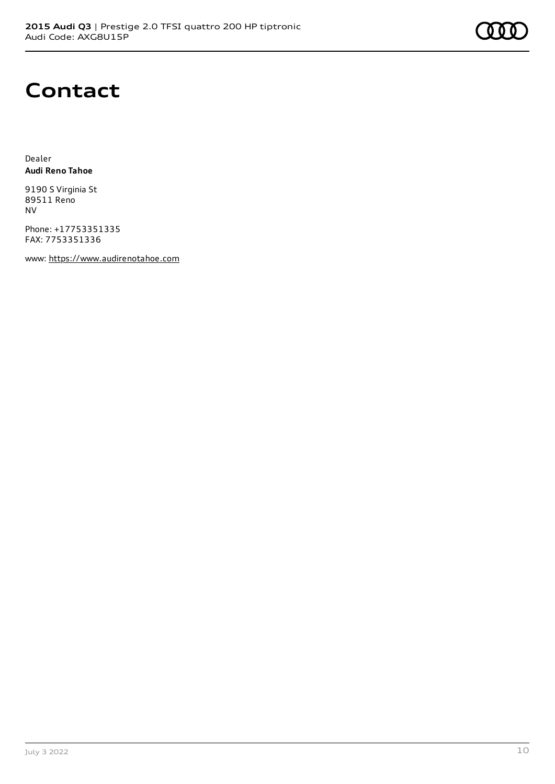### **Contact**

Dealer **Audi Reno Tahoe**

9190 S Virginia St 89511 Reno NV

Phone: +17753351335 FAX: 7753351336

www: [https://www.audirenotahoe.com](https://www.audirenotahoe.com/)